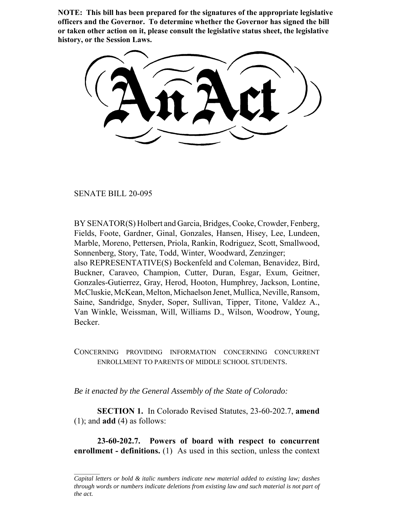**NOTE: This bill has been prepared for the signatures of the appropriate legislative officers and the Governor. To determine whether the Governor has signed the bill or taken other action on it, please consult the legislative status sheet, the legislative history, or the Session Laws.**

SENATE BILL 20-095

BY SENATOR(S) Holbert and Garcia, Bridges, Cooke, Crowder, Fenberg, Fields, Foote, Gardner, Ginal, Gonzales, Hansen, Hisey, Lee, Lundeen, Marble, Moreno, Pettersen, Priola, Rankin, Rodriguez, Scott, Smallwood, Sonnenberg, Story, Tate, Todd, Winter, Woodward, Zenzinger; also REPRESENTATIVE(S) Bockenfeld and Coleman, Benavidez, Bird, Buckner, Caraveo, Champion, Cutter, Duran, Esgar, Exum, Geitner, Gonzales-Gutierrez, Gray, Herod, Hooton, Humphrey, Jackson, Lontine, McCluskie, McKean, Melton, Michaelson Jenet, Mullica, Neville, Ransom, Saine, Sandridge, Snyder, Soper, Sullivan, Tipper, Titone, Valdez A., Van Winkle, Weissman, Will, Williams D., Wilson, Woodrow, Young, Becker.

CONCERNING PROVIDING INFORMATION CONCERNING CONCURRENT ENROLLMENT TO PARENTS OF MIDDLE SCHOOL STUDENTS.

*Be it enacted by the General Assembly of the State of Colorado:*

**SECTION 1.** In Colorado Revised Statutes, 23-60-202.7, **amend** (1); and **add** (4) as follows:

**23-60-202.7. Powers of board with respect to concurrent enrollment - definitions.** (1) As used in this section, unless the context

*Capital letters or bold & italic numbers indicate new material added to existing law; dashes through words or numbers indicate deletions from existing law and such material is not part of the act.*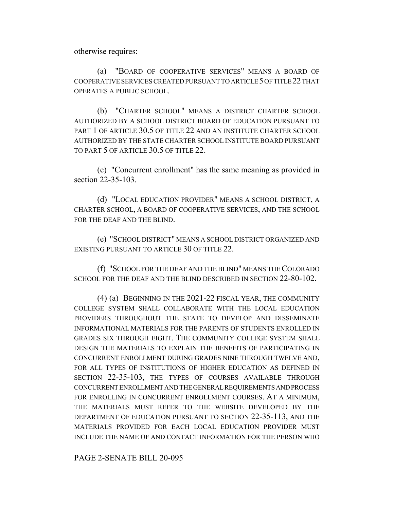otherwise requires:

(a) "BOARD OF COOPERATIVE SERVICES" MEANS A BOARD OF COOPERATIVE SERVICES CREATED PURSUANT TO ARTICLE 5 OF TITLE 22 THAT OPERATES A PUBLIC SCHOOL.

(b) "CHARTER SCHOOL" MEANS A DISTRICT CHARTER SCHOOL AUTHORIZED BY A SCHOOL DISTRICT BOARD OF EDUCATION PURSUANT TO PART 1 OF ARTICLE 30.5 OF TITLE 22 AND AN INSTITUTE CHARTER SCHOOL AUTHORIZED BY THE STATE CHARTER SCHOOL INSTITUTE BOARD PURSUANT TO PART 5 OF ARTICLE 30.5 OF TITLE 22.

(c) "Concurrent enrollment" has the same meaning as provided in section 22-35-103.

(d) "LOCAL EDUCATION PROVIDER" MEANS A SCHOOL DISTRICT, A CHARTER SCHOOL, A BOARD OF COOPERATIVE SERVICES, AND THE SCHOOL FOR THE DEAF AND THE BLIND.

(e) "SCHOOL DISTRICT" MEANS A SCHOOL DISTRICT ORGANIZED AND EXISTING PURSUANT TO ARTICLE 30 OF TITLE 22.

(f) "SCHOOL FOR THE DEAF AND THE BLIND" MEANS THE COLORADO SCHOOL FOR THE DEAF AND THE BLIND DESCRIBED IN SECTION 22-80-102.

(4) (a) BEGINNING IN THE 2021-22 FISCAL YEAR, THE COMMUNITY COLLEGE SYSTEM SHALL COLLABORATE WITH THE LOCAL EDUCATION PROVIDERS THROUGHOUT THE STATE TO DEVELOP AND DISSEMINATE INFORMATIONAL MATERIALS FOR THE PARENTS OF STUDENTS ENROLLED IN GRADES SIX THROUGH EIGHT. THE COMMUNITY COLLEGE SYSTEM SHALL DESIGN THE MATERIALS TO EXPLAIN THE BENEFITS OF PARTICIPATING IN CONCURRENT ENROLLMENT DURING GRADES NINE THROUGH TWELVE AND, FOR ALL TYPES OF INSTITUTIONS OF HIGHER EDUCATION AS DEFINED IN SECTION 22-35-103, THE TYPES OF COURSES AVAILABLE THROUGH CONCURRENT ENROLLMENT AND THE GENERAL REQUIREMENTS AND PROCESS FOR ENROLLING IN CONCURRENT ENROLLMENT COURSES. AT A MINIMUM, THE MATERIALS MUST REFER TO THE WEBSITE DEVELOPED BY THE DEPARTMENT OF EDUCATION PURSUANT TO SECTION 22-35-113, AND THE MATERIALS PROVIDED FOR EACH LOCAL EDUCATION PROVIDER MUST INCLUDE THE NAME OF AND CONTACT INFORMATION FOR THE PERSON WHO

PAGE 2-SENATE BILL 20-095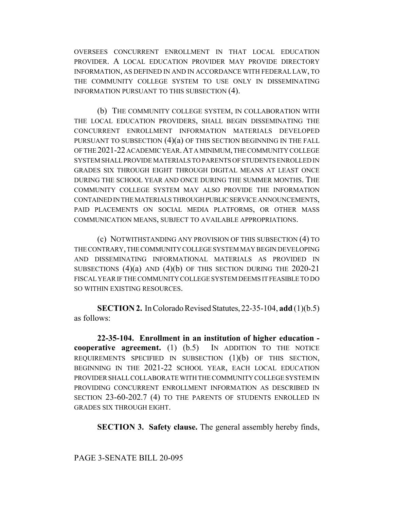OVERSEES CONCURRENT ENROLLMENT IN THAT LOCAL EDUCATION PROVIDER. A LOCAL EDUCATION PROVIDER MAY PROVIDE DIRECTORY INFORMATION, AS DEFINED IN AND IN ACCORDANCE WITH FEDERAL LAW, TO THE COMMUNITY COLLEGE SYSTEM TO USE ONLY IN DISSEMINATING INFORMATION PURSUANT TO THIS SUBSECTION (4).

(b) THE COMMUNITY COLLEGE SYSTEM, IN COLLABORATION WITH THE LOCAL EDUCATION PROVIDERS, SHALL BEGIN DISSEMINATING THE CONCURRENT ENROLLMENT INFORMATION MATERIALS DEVELOPED PURSUANT TO SUBSECTION  $(4)(a)$  OF THIS SECTION BEGINNING IN THE FALL OF THE 2021-22 ACADEMIC YEAR.AT A MINIMUM, THE COMMUNITY COLLEGE SYSTEM SHALL PROVIDE MATERIALS TO PARENTS OF STUDENTS ENROLLED IN GRADES SIX THROUGH EIGHT THROUGH DIGITAL MEANS AT LEAST ONCE DURING THE SCHOOL YEAR AND ONCE DURING THE SUMMER MONTHS. THE COMMUNITY COLLEGE SYSTEM MAY ALSO PROVIDE THE INFORMATION CONTAINED IN THE MATERIALS THROUGH PUBLIC SERVICE ANNOUNCEMENTS, PAID PLACEMENTS ON SOCIAL MEDIA PLATFORMS, OR OTHER MASS COMMUNICATION MEANS, SUBJECT TO AVAILABLE APPROPRIATIONS.

(c) NOTWITHSTANDING ANY PROVISION OF THIS SUBSECTION (4) TO THE CONTRARY, THE COMMUNITY COLLEGE SYSTEM MAY BEGIN DEVELOPING AND DISSEMINATING INFORMATIONAL MATERIALS AS PROVIDED IN SUBSECTIONS  $(4)(a)$  AND  $(4)(b)$  OF THIS SECTION DURING THE 2020-21 FISCAL YEAR IF THE COMMUNITY COLLEGE SYSTEM DEEMS IT FEASIBLE TO DO SO WITHIN EXISTING RESOURCES.

**SECTION 2.** In Colorado Revised Statutes, 22-35-104, **add** (1)(b.5) as follows:

**22-35-104. Enrollment in an institution of higher education cooperative agreement.** (1) (b.5) IN ADDITION TO THE NOTICE REQUIREMENTS SPECIFIED IN SUBSECTION (1)(b) OF THIS SECTION, BEGINNING IN THE 2021-22 SCHOOL YEAR, EACH LOCAL EDUCATION PROVIDER SHALL COLLABORATE WITH THE COMMUNITY COLLEGE SYSTEM IN PROVIDING CONCURRENT ENROLLMENT INFORMATION AS DESCRIBED IN SECTION 23-60-202.7 (4) TO THE PARENTS OF STUDENTS ENROLLED IN GRADES SIX THROUGH EIGHT.

**SECTION 3. Safety clause.** The general assembly hereby finds,